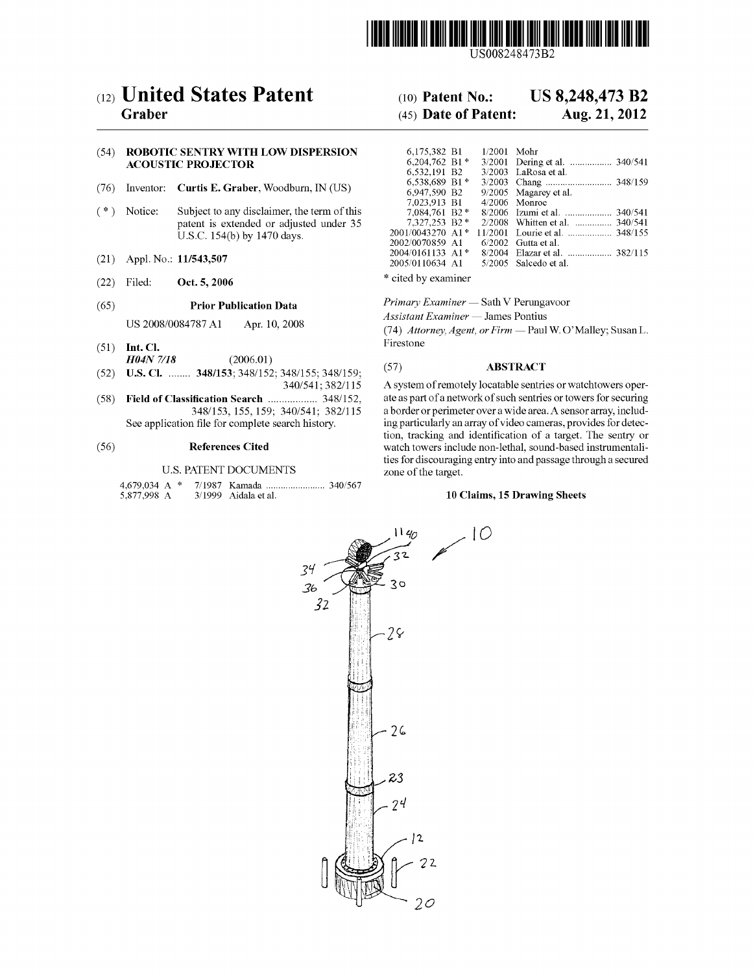

US008248473B2

## (12) United States Patent

### Graber

#### (54) ROBOTIC SENTRY WITH LOW DISPERSION ACOUSTIC PROJECTOR

- (76) Inventor: Curtis E. Graber, Woodburn, IN (US)
- (\*) Notice: Subject to any disclaimer, the term of this patent is extended or adjusted under 35 U.S.C. 154(b) by 1470 days.
- (21) Appl. No.: 11/543,507
- (22) Filed: Oct. 5, 2006

#### (65) Prior Publication Data

US 2008/OO84787 A1 Apr. 10, 2008

- (51) Int. Cl. H04N 7/18 (2006.01)
- (52) U.S. Cl. ........ 348/153; 348/152: 348/155; 348/159; 340/541; 382/115
- (58) Field of Classification Search .................. 348/152, 348/153, 155, 159; 340/541; 382/115 See application file for complete search history.

#### (56) References Cited

#### U.S. PATENT DOCUMENTS

| 5,877,998 A |  | 3/1999 Aidala et al. |  |
|-------------|--|----------------------|--|

# (10) Patent No.: US 8,248,473 B2<br>(45) Date of Patent: Aug. 21, 2012

#### $(45)$  Date of Patent:

| 6.175.382 B1     | $1/2001$ Mohr |                                |  |
|------------------|---------------|--------------------------------|--|
| 6.204.762 B1*    |               | 3/2001 Dering et al.  340/541  |  |
| 6.532.191 B2     |               | $3/2003$ LaRosa et al.         |  |
| 6,538,689 B1*    |               |                                |  |
| 6.947.590 B2     |               | 9/2005 Magarey et al.          |  |
| 7.023.913 B1     |               | $4/2006$ Monroe                |  |
| 7,084,761 B2 *   |               | 8/2006 Izumi et al.  340/541   |  |
| 7,327,253 B2*    |               | 2/2008 Whitten et al.  340/541 |  |
| 2001/0043270 A1* |               | 11/2001 Lourie et al.  348/155 |  |
| 2002/0070859 A1  |               | $6/2002$ Gutta et al.          |  |
| 2004/0161133 A1* |               | 8/2004 Elazar et al.  382/115  |  |
| 2005/0110634 A1  |               | $5/2005$ Salcedo et al.        |  |
|                  |               |                                |  |

\* cited by examiner

Primary Examiner — Sath V Perungavoor

Assistant Examiner — James Pontius

(74) Attorney, Agent, or Firm — Paul W. O'Malley; Susan L. Firestone

#### (57) ABSTRACT

A system of remotely locatable sentries or watchtowers oper ate as part of a network of such sentries or towers for securing a border or perimeter over a wide area. A sensor array, includ ing particularly an array of video cameras, provides for detec tion, tracking and identification of a target. The sentry or watch towers include non-lethal, sound-based instrumentalities for discouraging entry into and passage through a secured Zone of the target.

#### 10 Claims, 15 Drawing Sheets

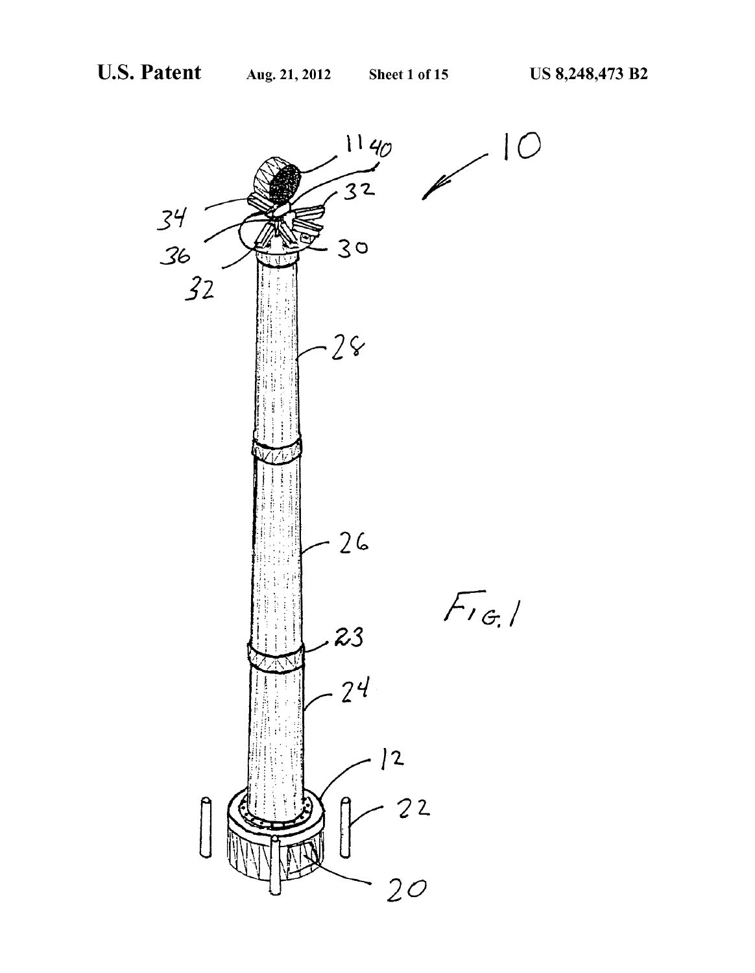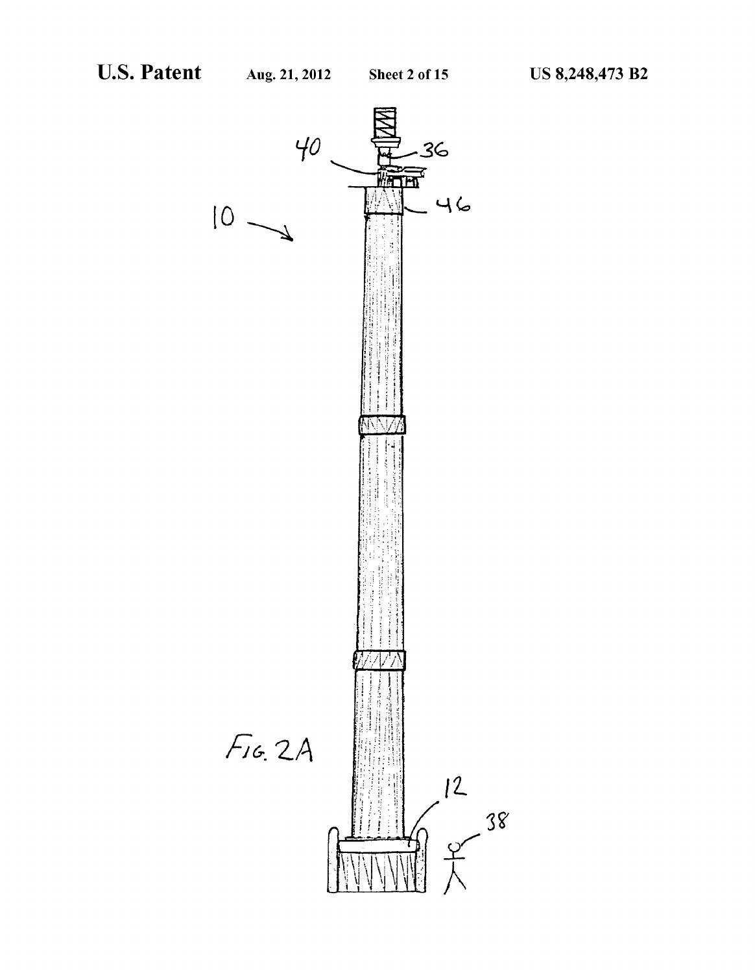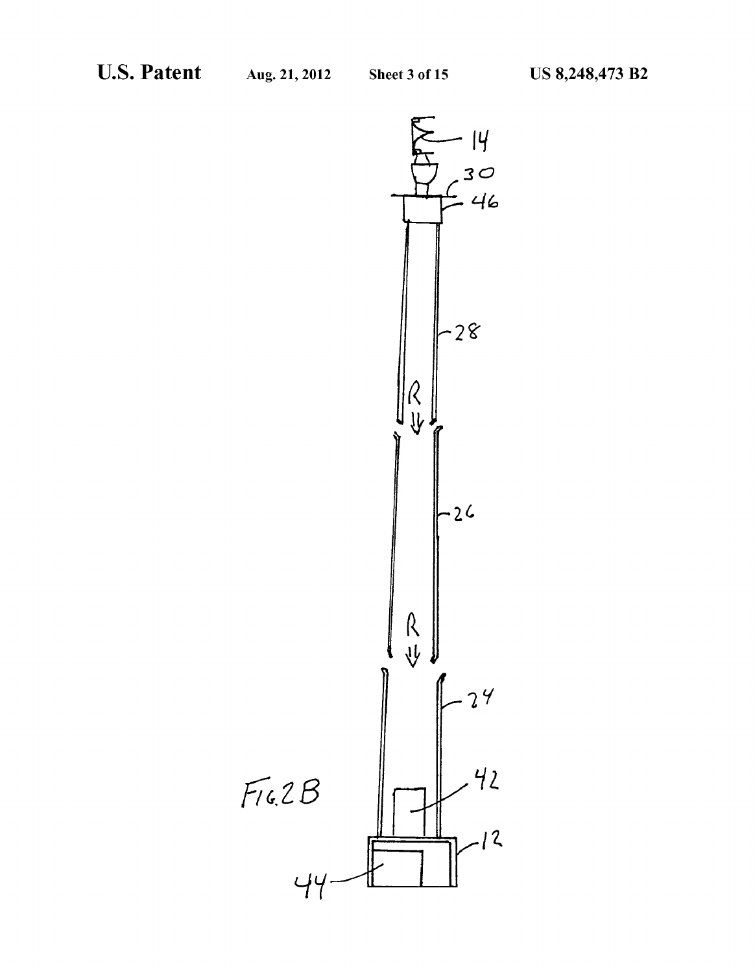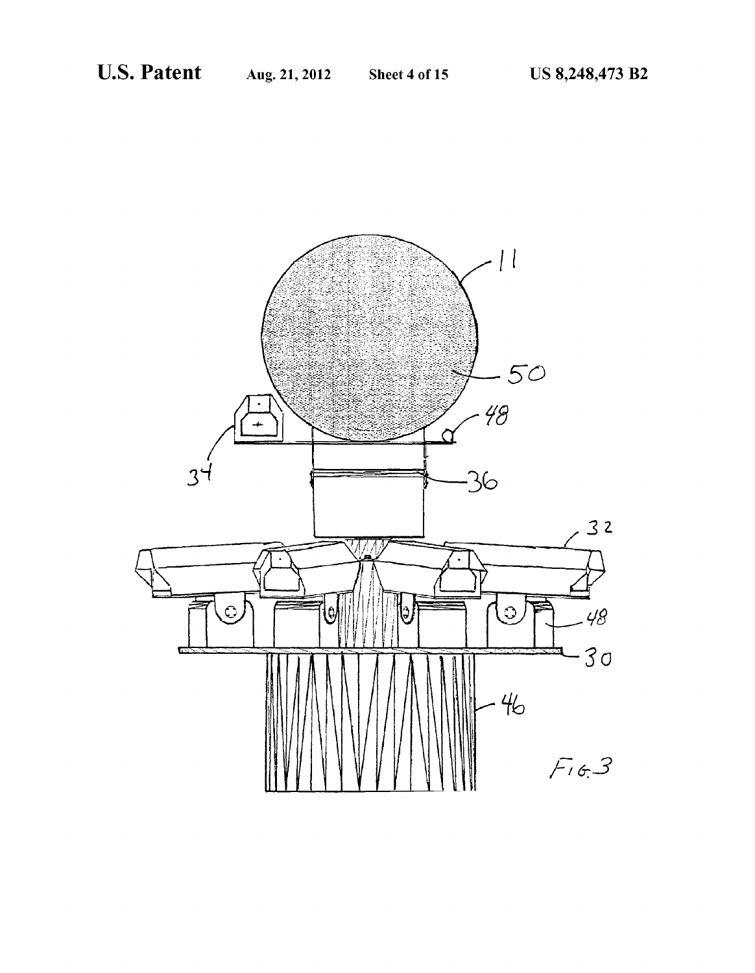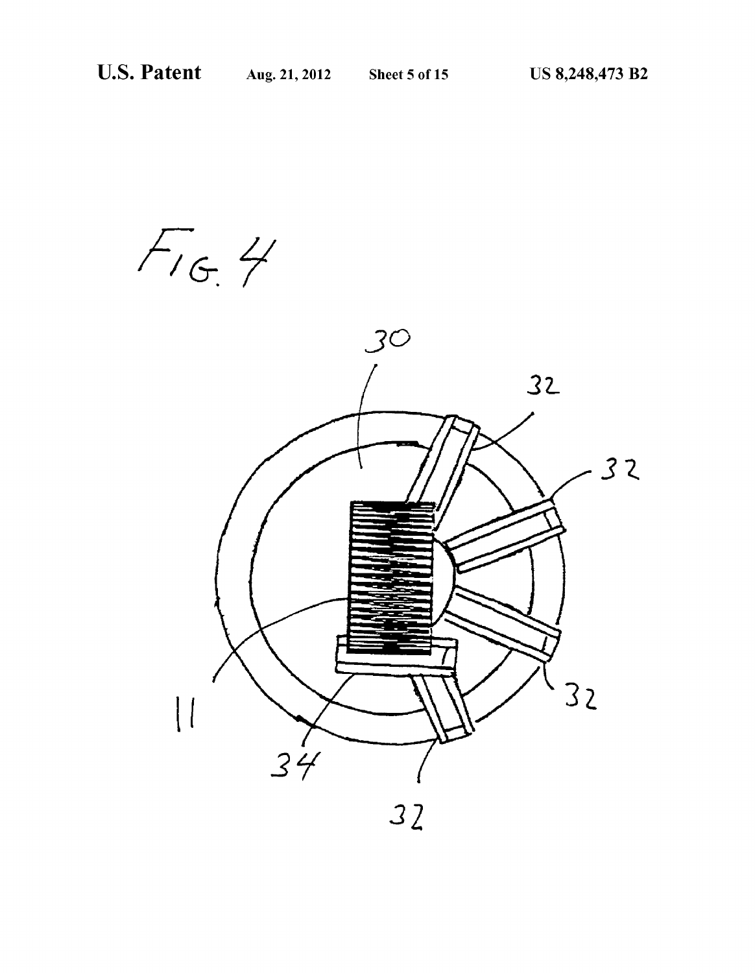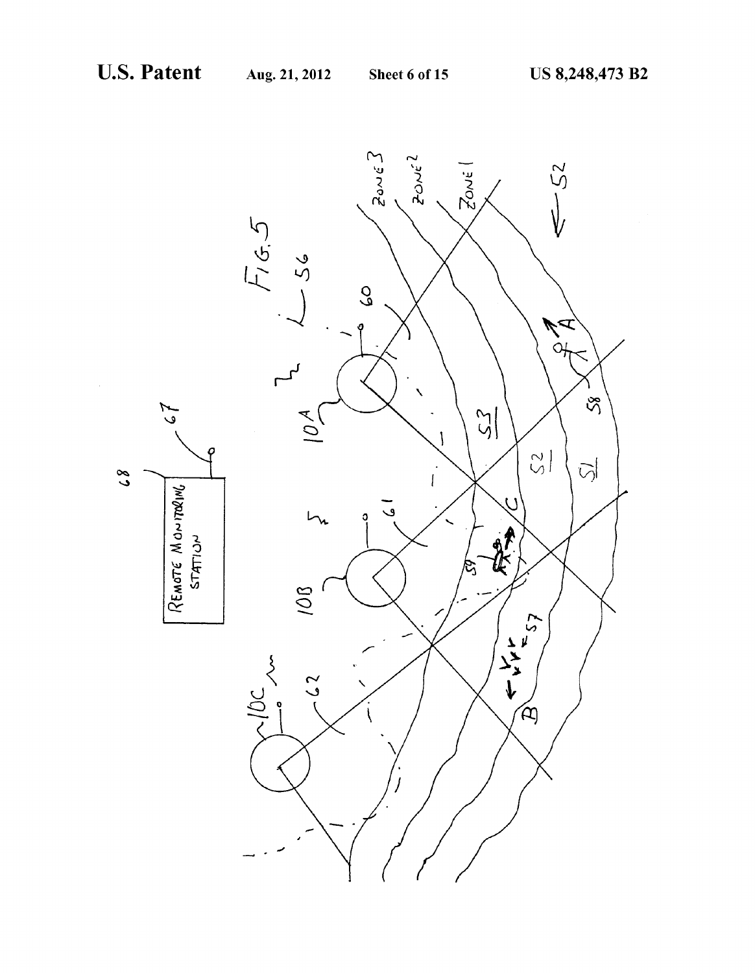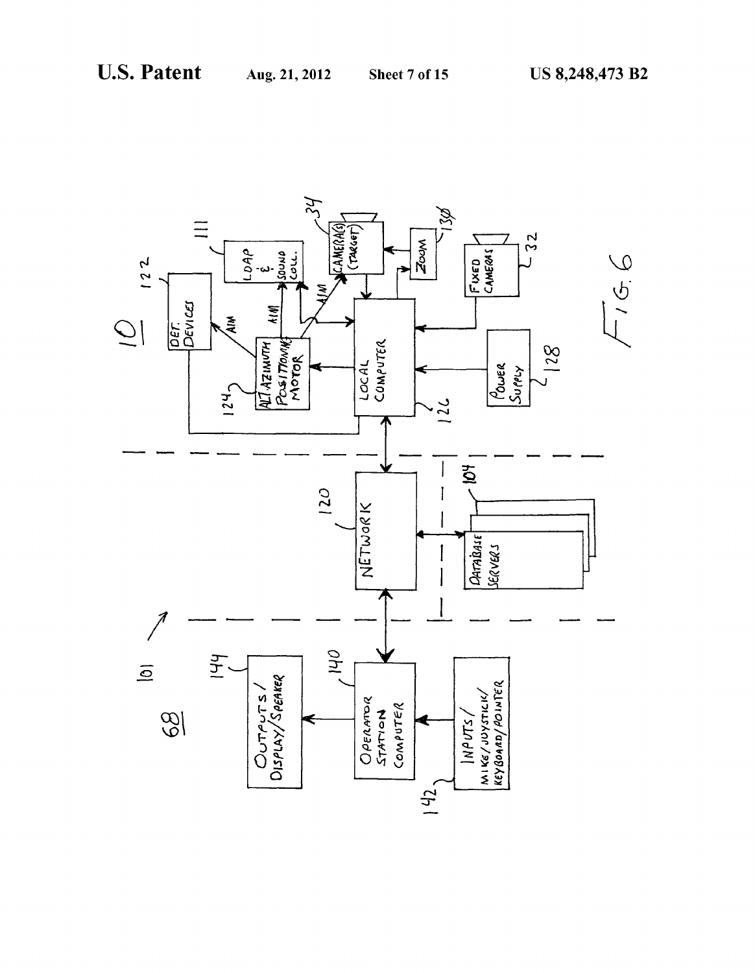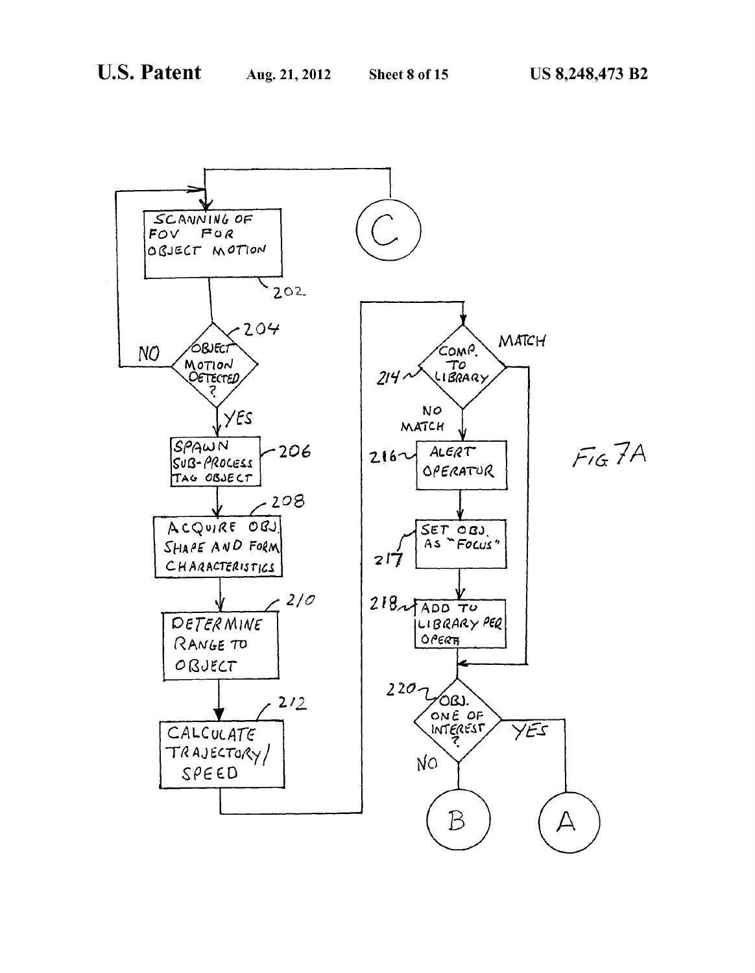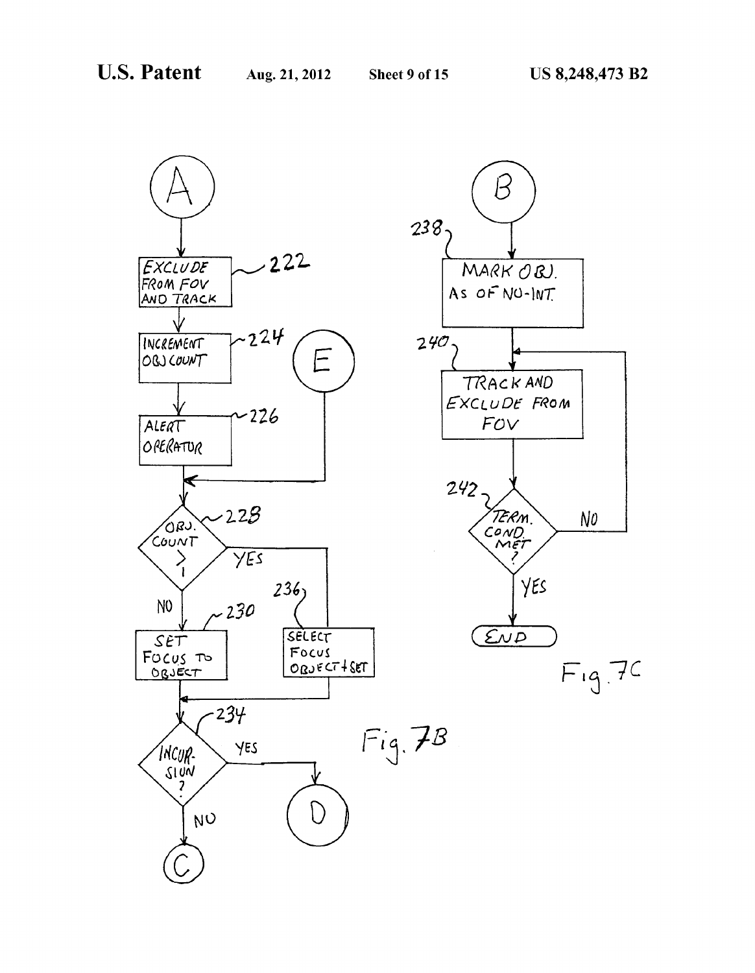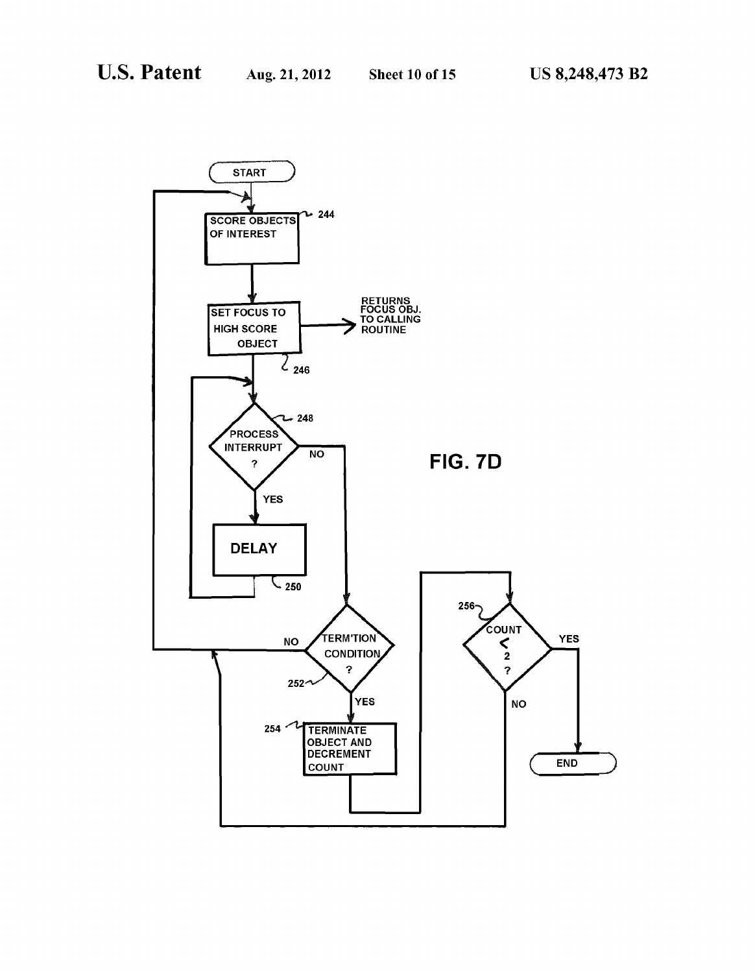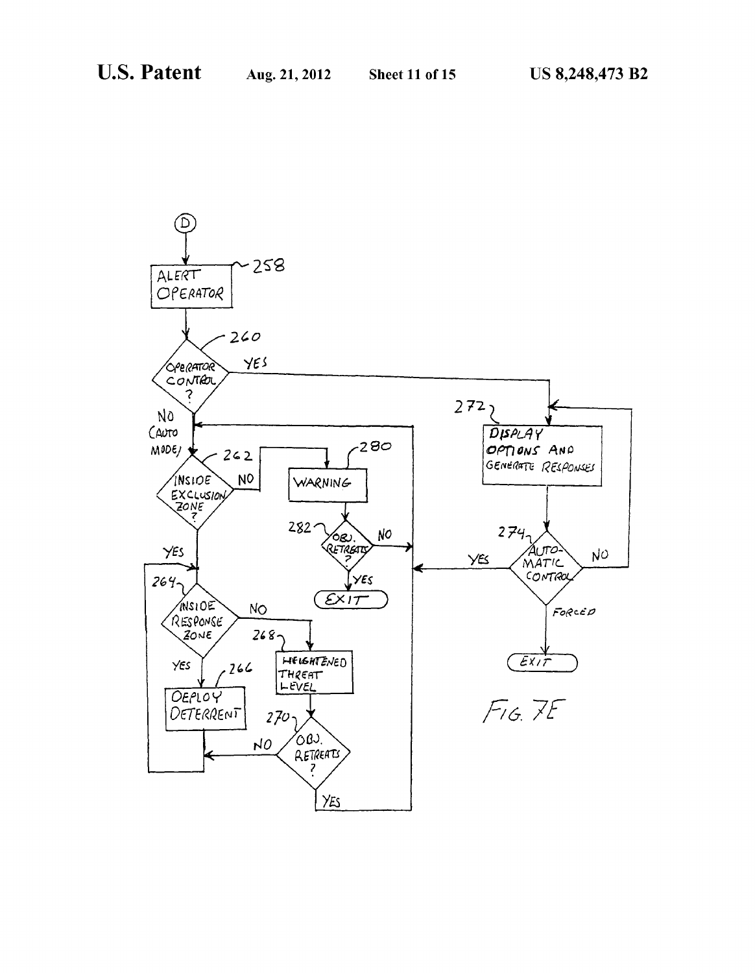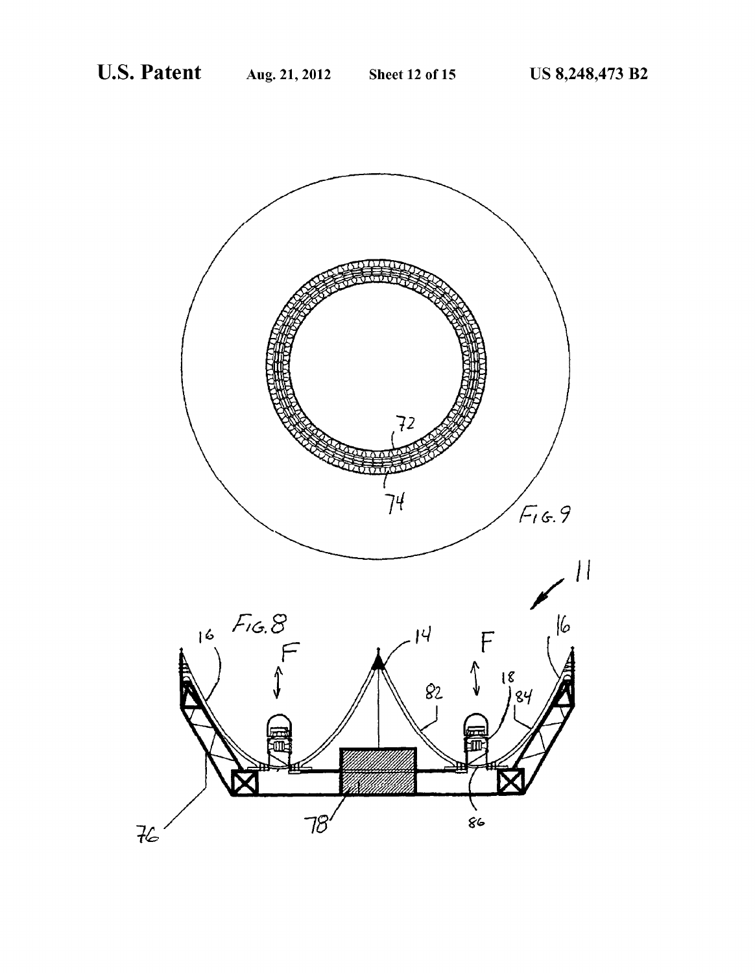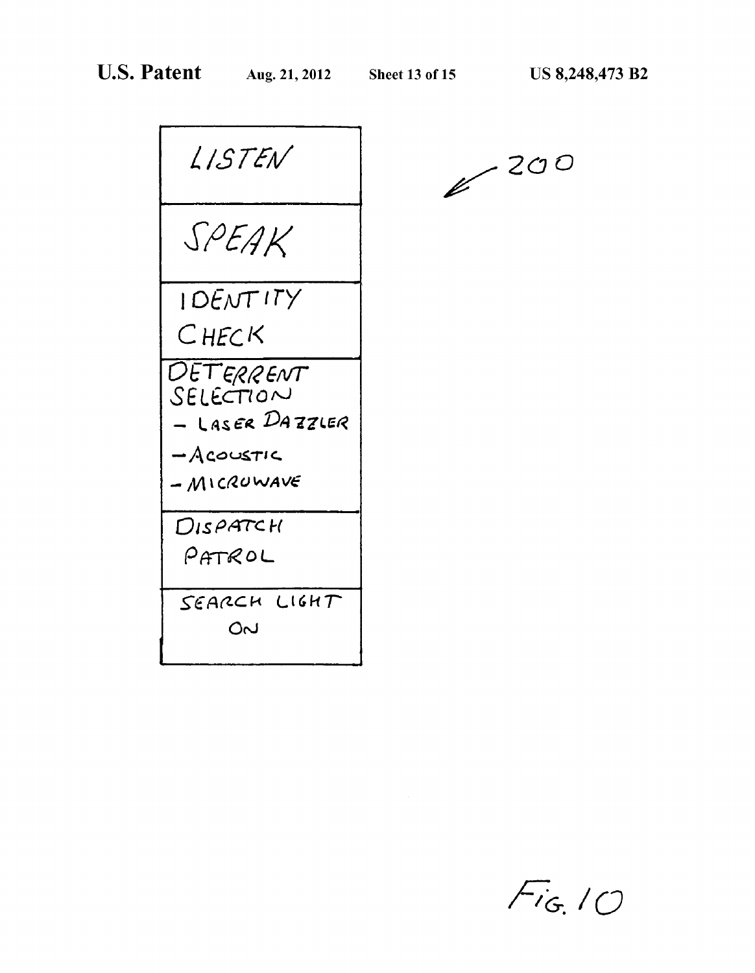

 $200$ 

 $Fix.$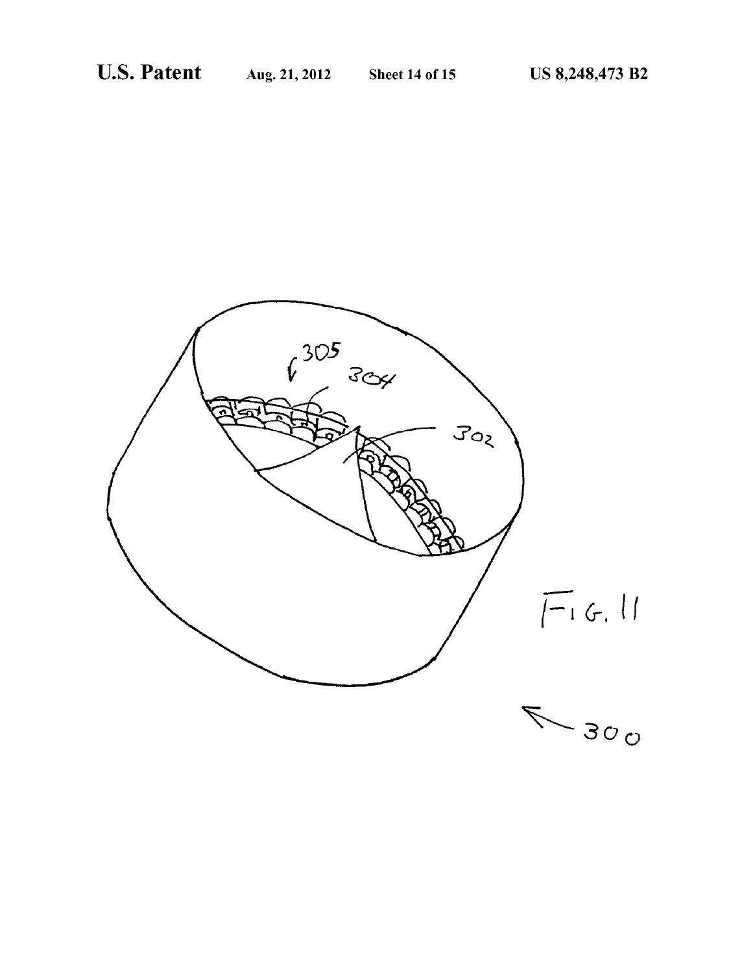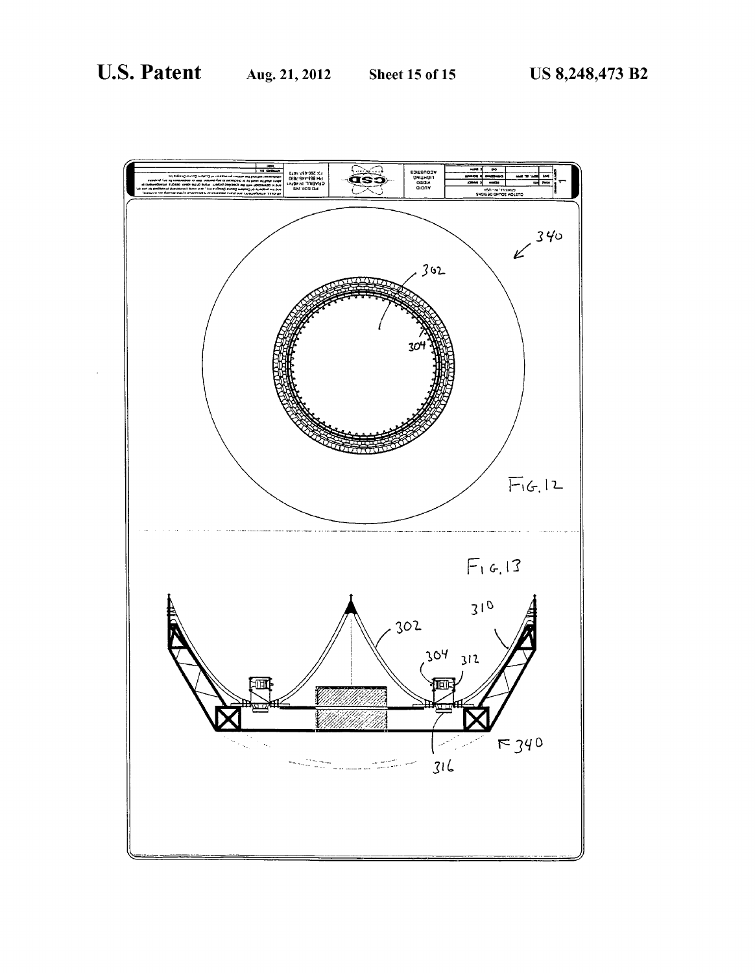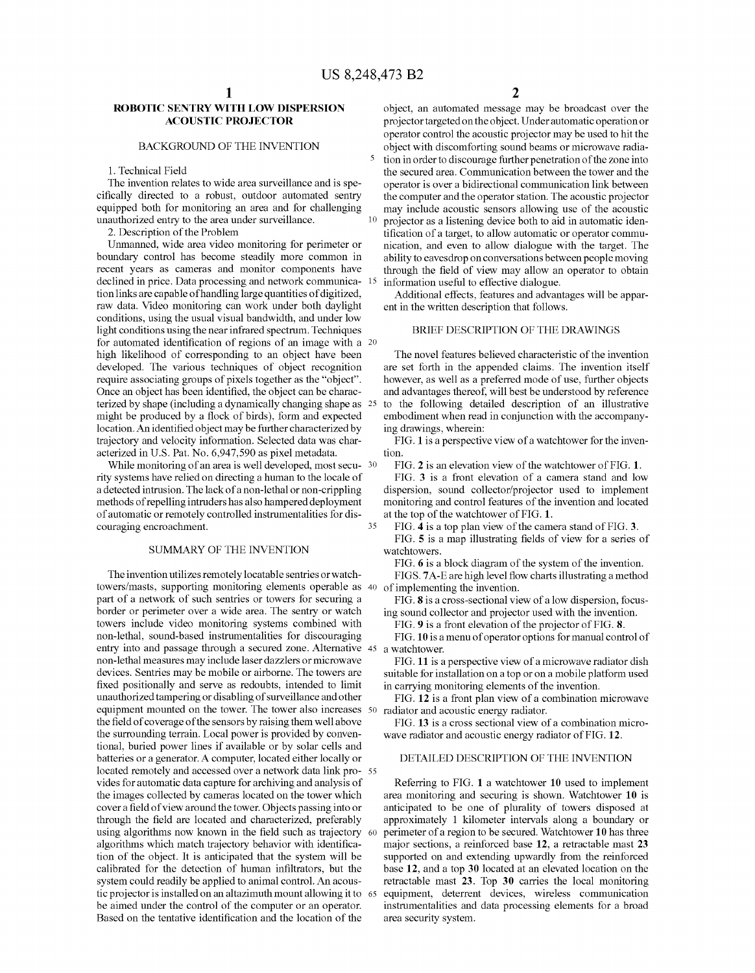10

 $\overline{\mathbf{S}}$ 

35

#### ROBOTIC SENTRY WITH LOW DISPERSION ACOUSTIC PROJECTOR

#### BACKGROUND OF THE INVENTION

1. Technical Field cifically directed to a robust, outdoor automated sentry equipped both for monitoring an area and for challenging unauthorized entry to the area under surveillance.

2. Description of the Problem

Unmanned, wide area video monitoring for perimeter or boundary control has become steadily more common in recent years as cameras and monitor components have declined in price. Data processing and network communica- 15 tion links are capable of handling large quantities of digitized, raw data. Video monitoring can work under both daylight conditions, using the usual visual bandwidth, and under low light conditions using the near infrared spectrum. Techniques for automated identification of regions of an image with a high likelihood of corresponding to an object have been developed. The various techniques of object recognition require associating groups of pixels together as the "object". Once an object has been identified, the object can be charac terized by shape (including a dynamically changing shape as 25 might be produced by a flock of birds), form and expected location. An identified object may be further characterized by trajectory and velocity information. Selected data was characterized in U.S. Pat. No. 6,947.590 as pixel metadata.

While monitoring of an area is well developed, most secu-30 rity systems have relied on directing a human to the locale of methods of repelling intruders has also hampered deployment of automatic or remotely controlled instrumentalities for dis couraging encroachment.

#### SUMMARY OF THE INVENTION

The invention utilizes remotely locatable sentries or watch towers/masts, Supporting monitoring elements operable as 40 of implementing the invention. part of a network of Such sentries or towers for securing a border or perimeter over a wide area. The sentry or watch towers include video monitoring systems combined with non-lethal, Sound-based instrumentalities for discouraging entry into and passage through a secured Zone. Alternative 45 non-lethal measures may include laser dazzlers or microwave devices. Sentries may be mobile or airborne. The towers are fixed positionally and serve as redoubts, intended to limit unauthorized tampering or disabling of Surveillance and other equipment mounted on the tower. The tower also increases 50 the field of coverage of the sensors by raising them well above the surrounding terrain. Local power is provided by conventional, buried power lines if available or by solar cells and batteries or a generator. A computer, located either locally or vides for automatic data capture for archiving and analysis of the images collected by cameras located on the tower which cover a field of view around the tower. Objects passing into or through the field are located and characterized, preferably through the field are located and characterized, preferably using algorithms now known in the field such as trajectory 60 algorithms which match trajectory behavior with identifica tion of the object. It is anticipated that the system will be calibrated for the detection of human infiltrators, but the system could readily be applied to animal control. An acous tic projector is installed on an altazimuth mount allowing it to 65 be aimed under the control of the computer or an operator. Based on the tentative identification and the location of the located remotely and accessed over a network data link pro-55

2

object, an automated message may be broadcast over the projector targeted on the object. Under automatic operation or operator control the acoustic projector may be used to hit the object with discomforting sound beams or microwave radia tion in order to discourage further penetration of the zone into the secured area. Communication between the tower and the operator is over a bidirectional communication link between the computer and the operator station. The acoustic projector may include acoustic sensors allowing use of the acoustic projector as a listening device both to aid in automatic iden tification of a target, to allow automatic or operator commu nication, and even to allow dialogue with the target. The ability to eavesdrop on conversations between people moving through the field of view may allow an operator to obtain information useful to effective dialogue.

Additional effects, features and advantages will be apparent in the written description that follows.

#### BRIEF DESCRIPTION OF THE DRAWINGS

The novel features believed characteristic of the invention are set forth in the appended claims. The invention itself however, as well as a preferred mode of use, further objects and advantages thereof, will best be understood by reference to the following detailed description of an illustrative embodiment when read in conjunction with the accompanying drawings, wherein:

FIG. 1 is a perspective view of a watchtower for the inven tion.

FIG. 2 is an elevation view of the watchtower of FIG. 1.

FIG. 3 is a front elevation of a camera stand and low dispersion, sound collector/projector used to implement monitoring and control features of the invention and located at the top of the watchtower of FIG. 1.

FIG. 4 is a top plan view of the camera stand of FIG. 3.

FIG. 5 is a map illustrating fields of view for a series of watchtowers.

FIG. 6 is a block diagram of the system of the invention. FIGS. 7A-E are high level flow charts illustrating a method

FIG. 8 is a cross-sectional view of a low dispersion, focus ing sound collector and projector used with the invention.

FIG.9 is a front elevation of the projector of FIG. 8.

FIG.  $10$  is a menu of operator options for manual control of

FIG. 11 is a perspective view of a microwave radiator dish suitable for installation on a top or on a mobile platform used in carrying monitoring elements of the invention.

FIG. 12 is a front plan view of a combination microwave radiator and acoustic energy radiator.

FIG. 13 is a cross sectional view of a combination micro wave radiator and acoustic energy radiator of FIG. 12.

#### DETAILED DESCRIPTION OF THE INVENTION

Referring to FIG. 1 a watchtower 10 used to implement area monitoring and securing is shown. Watchtower 10 is anticipated to be one of plurality of towers disposed at approximately 1 kilometer intervals along a boundary or perimeter of a region to be secured. Watchtower 10 has three major sections, a reinforced base 12, a retractable mast 23 supported on and extending upwardly from the reinforced base 12, and a top 30 located at an elevated location on the retractable mast 23. Top 30 carries the local monitoring equipment, deterrent devices, wireless communication instrumentalities and data processing elements for a broad area security system.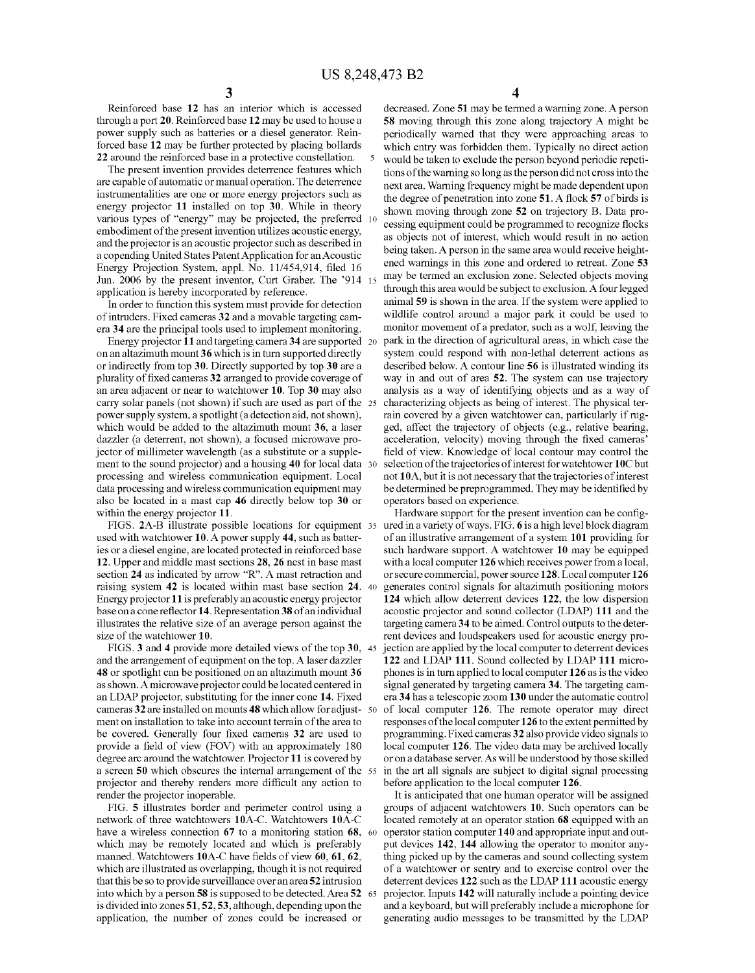Reinforced base 12 has an interior which is accessed through a port 20. Reinforced base 12 may be used to house a power supply such as batteries or a diesel generator. Reinforced base 12 may be further protected by placing bollards 22 around the reinforced base in a protective constellation.

The present invention provides deterrence features which are capable of automatic or manual operation. The deterrence instrumentalities are one or more energy projectors such as energy projector 11 installed on top 30. While in theory energy projector 11 installed on top 30. While in theory various types of "energy" may be projected, the preferred 10 embodiment of the present invention utilizes acoustic energy, and the projector is an acoustic projector Such as described in a copending United States Patent Application for an Acoustic Energy Projection System, appl. No. 1 1/454,914, filed 16 Jun. 2006 by the present inventor, Curt Graber. The 914 15 application is hereby incorporated by reference.

In order to function this system must provide for detection of intruders. Fixed cameras 32 and a movable targeting cam era 34 are the principal tools used to implement monitoring.

Energy projector 11 and targeting camera  $34$  are supported 20 on an altazimuth mount 36 which is in turn supported directly or indirectly from top 30. Directly supported by top 30 are a plurality of fixed cameras 32 arranged to provide coverage of an area adjacent or near to watchtower 10. Top 30 may also carry solar panels (not shown) if such are used as part of the 25 power Supply system, a spotlight (a detection aid, not shown), which would be added to the altazimuth mount 36, a laser dazzler (a deterrent, not shown), a focused microwave projector of millimeter wavelength (as a substitute or a supplement to the Sound projector) and a housing 40 for local data 30 processing and wireless communication equipment. Local data processing and wireless communication equipment may also be located in a mast cap 46 directly below top 30 or within the energy projector 11.

FIGS. 2A-B illustrate possible locations for equipment 35 used with watchtower 10. A power supply 44, such as batter ies or a diesel engine, are located protected in reinforced base 12. Upper and middle mast sections 28, 26 nest in base mast section 24 as indicated by arrow "R". A mast retraction and raising system 42 is located within mast base section 24. 40 Energy projector 11 is preferably an acoustic energy projector base on a cone reflector 14. Representation 38 of an individual illustrates the relative size of an average person against the size of the watchtower 10.

FIGS. 3 and 4 provide more detailed views of the top 30, 45 and the arrangement of equipment on the top. A laser dazzler 48 or spotlight can be positioned on an altazimuth mount 36 as shown. A microwave projector could be located centered in an LDAP projector, substituting for the inner cone 14. Fixed cameras  $32$  are installed on mounts  $48$  which allow for adjust-  $50$ ment on installation to take into account terrain of the area to be covered. Generally four fixed cameras 32 are used to provide a field of view (FOV) with an approximately 180 degree arc around the watchtower. Projector 11 is covered by a screen 50 which obscures the internal arrangement of the 55 projector and thereby renders more difficult any action to render the projector inoperable.

FIG. 5 illustrates border and perimeter control using a network of three watchtowers 10A-C. Watchtowers 10A-C which may be remotely located and which is preferably manned. Watch towers  $10A-C$  have fields of view  $60$ ,  $61$ ,  $62$ , which are illustrated as overlapping, though it is not required that this be so to provide surveillance over an area 52 intrusion into which by a person 58 is supposed to be detected. Area 52 is divided into Zones 51, 52,53, although, depending upon the application, the number of Zones could be increased or have a wireless connection 67 to a monitoring station 68, 60

65

4

decreased. Zone 51 may be termed a warning Zone. A person 58 moving through this Zone along trajectory A might be periodically warned that they were approaching areas to which entry was forbidden them. Typically no direct action would be taken to exclude the person beyond periodic repeti tions of the warning so long as the person did not cross into the next area. Warning frequency might be made dependent upon the degree of penetration into Zone 51. A flock 57 of birds is shown moving through Zone 52 on trajectory B. Data pro cessing equipment could be programmed to recognize flocks as objects not of interest, which would result in no action being taken. A person in the same area would receive height ened warnings in this Zone and ordered to retreat. Zone 53 may be termed an exclusion Zone. Selected objects moving through this area would be subject to exclusion. A four legged animal 59 is shown in the area. If the system were applied to wildlife control around a major park it could be used to monitor movement of a predator, such as a wolf, leaving the park in the direction of agricultural areas, in which case the system could respond with non-lethal deterrent actions as described below. A contour line 56 is illustrated winding its way in and out of area 52. The system can use trajectory analysis as a way of identifying objects and as a way of characterizing objects as being of interest. The physical terrain covered by a given watchtower can, particularly if rugged, affect the trajectory of objects (e.g., relative bearing, acceleration, velocity) moving through the fixed cameras' field of view. Knowledge of local contour may control the selection of the trajectories of interest for watchtower 10C but not 10A, but it is not necessary that the trajectories of interest be determined be preprogrammed. They may be identified by operators based on experience.

Hardware support for the present invention can be configured in a variety of ways. FIG. 6 is a high level block diagram of an illustrative arrangement of a system 101 providing for such hardware support. A watchtower 10 may be equipped with a local computer 126 which receives power from a local, or secure commercial, power Source 128. Local computer 126 generates control signals for altazimuth positioning motors 124 which allow deterrent devices 122, the low dispersion acoustic projector and sound collector (LDAP) 111 and the targeting camera 34 to be aimed. Control outputs to the deter-<br>rent devices and loudspeakers used for acoustic energy projection are applied by the local computer to deterrent devices 122 and LDAP 111. Sound collected by LDAP 111 micro phones is in turn applied to local computer 126 as is the video signal generated by targeting camera 34. The targeting cam era 34 has a telescopic Zoom 130 under the automatic control of local computer 126. The remote operator may direct responses of the local computer 126 to the extent permitted by programming. Fixed cameras 32 also provide video signals to local computer 126. The video data may be archived locally or on a database server. As will be understood by those skilled in the art all signals are subject to digital signal processing before application to the local computer 126.

It is anticipated that one human operator will be assigned groups of adjacent watchtowers 10. Such operators can be located remotely at an operator station 68 equipped with an operator station computer 140 and appropriate input and out-<br>put devices 142, 144 allowing the operator to monitor anything picked up by the cameras and sound collecting system of a watchtower or sentry and to exercise control over the deterrent devices  $122$  such as the LDAP 111 acoustic energy projector. Inputs 142 will naturally include a pointing device and a keyboard, but will preferably include a microphone for generating audio messages to be transmitted by the LDAP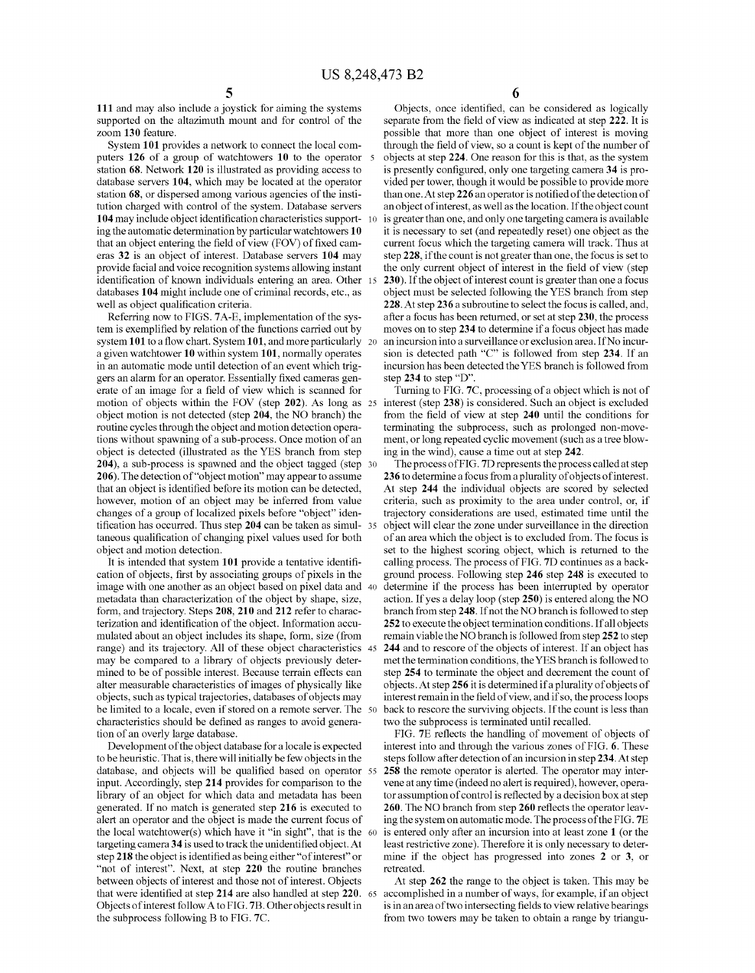111 and may also include a joystick for aiming the systems supported on the altazimuth mount and for control of the zoom 130 feature.

System 101 provides a network to connect the local computers 126 of a group of watchtowers 10 to the operator 5 station 68. Network 120 is illustrated as providing access to database servers 104, which may be located at the operator station 68, or dispersed among various agencies of the institution charged with control of the system. Database servers 104 may include object identification characteristics support- $10$ ing the automatic determination by particular watch towers 10 that an object entering the field of view (FOV) of fixed cameras 32 is an object of interest. Database servers 104 may provide facial and voice recognition systems allowing instant identification of known individuals entering an area. Other 15 databases 104 might include one of criminal records, etc., as well as object qualification criteria.

Referring now to FIGS. 7A-E, implementation of the system is exemplified by relation of the functions carried out by system 101 to a flow chart. System 101, and more particularly 20 a given watchtower 10 within system 101, normally operates in an automatic mode until detection of an event which triggers an alarm for an operator. Essentially fixed cameras generate of an image for a field of view which is scanned for motion of objects within the FOV (step 202). As long as 25 interest (step 238) is considered. Such an object is excluded object motion is not detected (step 204, the NO branch) the routine cycles through the object and motion detection operations without spawning of a sub-process. Once motion of an object is detected (illustrated as the YES branch from step 204), a sub-process is spawned and the object tagged (step 30 206). The detection of "object motion" may appear to assume that an object is identified before its motion can be detected, however, motion of an object may be inferred from value changes of a group of localized pixels before "object" identification has occurred. Thus step 204 can be taken as simul- 35 taneous qualification of changing pixel values used for both object and motion detection.

It is intended that system 101 provide a tentative identification of objects, first by associating groups of pixels in the image with one another as an object based on pixel data and 40 metadata than characterization of the object by shape, size, form, and trajectory. Steps 208, 210 and 212 refer to characterization and identification of the object. Information accumulated about an object includes its shape, form, size (from range) and its trajectory. All of these object characteristics 45 may be compared to a library of objects previously determined to be of possible interest. Because terrain effects can alter measurable characteristics of images of physically like objects, such as typical trajectories, databases of objects may be limited to a locale, even if stored on a remote server. The 50 characteristics should be defined as ranges to avoid generation of an overly large database.

Development of the object database for a locale is expected to be heuristic. That is, there will initially be few objects in the database, and objects will be qualified based on operator 55 input. Accordingly, step 214 provides for comparison to the library of an object for which data and metadata has been generated. If no match is generated step 216 is executed to alert an operator and the object is made the current focus of the local watchtower(s) which have it "in sight", that is the  $\omega$ targeting camera 34 is used to track the unidentified object. At step 218 the object is identified as being either "of interest" or "not of interest". Next, at step 220 the routine branches between objects of interest and those not of interest. Objects that were identified at step 214 are also handled at step 220. 65 Objects of interest follow A to FIG. 7B. Other objects result in the subprocess following B to FIG. 7C.

6

Objects, once identified, can be considered as logically separate from the field of view as indicated at step 222. It is possible that more than one object of interest is moving through the field of view, so a count is kept of the number of objects at step 224. One reason for this is that, as the system is presently configured, only one targeting camera 34 is provided per tower, though it would be possible to provide more than one. At step 226 an operator is notified of the detection of an object of interest, as well as the location. If the object count is greater than one, and only one targeting camera is available it is necessary to set (and repeatedly reset) one object as the current focus which the targeting camera will track. Thus at step 228, if the count is not greater than one, the focus is set to the only current object of interest in the field of view (step) 230). If the object of interest count is greater than one a focus object must be selected following the YES branch from step 228. At step 236 a subroutine to select the focus is called, and, after a focus has been returned, or set at step 230, the process moves on to step 234 to determine if a focus object has made an incursion into a surveillance or exclusion area. If No incursion is detected path "C" is followed from step 234. If an incursion has been detected the YES branch is followed from step 234 to step "D".

Turning to FIG. 7C, processing of a object which is not of from the field of view at step 240 until the conditions for terminating the subprocess, such as prolonged non-movement, or long repeated cyclic movement (such as a tree blowing in the wind), cause a time out at step 242.

The process of FIG. 7D represents the process called at step 236 to determine a focus from a plurality of objects of interest. At step 244 the individual objects are scored by selected criteria, such as proximity to the area under control, or, if trajectory considerations are used, estimated time until the object will clear the zone under surveillance in the direction of an area which the object is to excluded from. The focus is set to the highest scoring object, which is returned to the calling process. The process of FIG. 7D continues as a background process. Following step 246 step 248 is executed to determine if the process has been interrupted by operator action. If yes a delay loop (step 250) is entered along the NO branch from step 248. If not the NO branch is followed to step 252 to execute the object termination conditions. If all objects remain viable the NO branch is followed from step 252 to step 244 and to rescore of the objects of interest. If an object has met the termination conditions, the YES branch is followed to step 254 to terminate the object and decrement the count of objects. At step 256 it is determined if a plurality of objects of interest remain in the field of view, and if so, the process loops back to rescore the surviving objects. If the count is less than two the subprocess is terminated until recalled.

FIG. 7E reflects the handling of movement of objects of interest into and through the various zones of FIG. 6. These steps follow after detection of an incursion in step 234. At step 258 the remote operator is alerted. The operator may intervene at any time (indeed no alert is required), however, operator assumption of control is reflected by a decision box at step 260. The NO branch from step 260 reflects the operator leaving the system on automatic mode. The process of the FIG. 7E is entered only after an incursion into at least zone 1 (or the least restrictive zone). Therefore it is only necessary to determine if the object has progressed into zones 2 or 3, or retreated.

At step 262 the range to the object is taken. This may be accomplished in a number of ways, for example, if an object is in an area of two intersecting fields to view relative bearings from two towers may be taken to obtain a range by triangu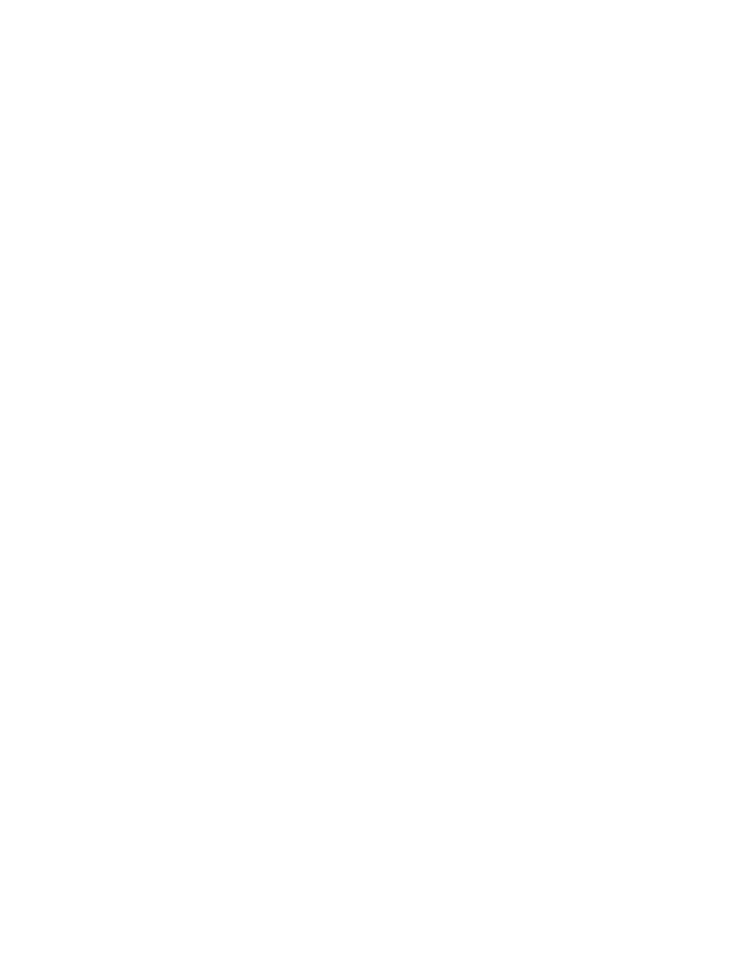lation. More typically a laser range finder, a radar system or an echo location system mounted on the altazimuth mount is employed. Range markers may even be placed in the field of view. Once a range is taken it can be determined if the object of interest is inside the exclusion zone or not. If not, the NO 5 branch is taken and a warning issued at step 280. After a delay another range to the object of interest is taken to determine if the object has retreated outside of the warning zone (step 282). If Yes the process can be exited. If No, the process returns to step 262 to determine if the exclusion zone has been 10 entered. Once the exclusion threshold is crossed and the YES branch followed from step 262 it is determined if the object has crossed into the response zone. If NOT, the NO branch is followed from step 264 to step 268 and the threat level is raised to reflect the increased threat level represented by the 15 object. Automatic responses at this point may include the projection of uncomfortable sound or microwave radiation toward the target or use of a laser dazzler. Following use of the deterrent appropriate to the level of incursion, it is determined if the object has retreated at step 270. If YES, the process 20 returns to step 262 to determine if the object continues to retreat. If the object does not retreat the process loops back to step 264 to determine if penetration of the area progresses. If YES, step 266 follows step 264 because the object has moved into a response zone and the highest level deterrent is 25 deployed.

Returning now to the circumstance where an operator assumes control along the YES branch from step 260. Step 272 simply notes that options are displayed to the operator and responses taken as the operator instructs. Step 274 fol-30 lowing step 272 reflects return to automatic control, either by the operator forcing the system not to follow a target or back into the automatic response mode.

Referring to FIGS. 8 and 9 an acoustic radiator and collector incorporates a reflector with an inner cone surface and an 35 outer annular reflecting surface suitable for use in the system of the present invention. The particular configuration is by way of example only, and it is not the only such system which could be used. However, the use of an inner cone reflector is favored because, conventionally, sound focusing system are 40 based on a simple concave dish with the transducer element mounted centered in the dish. Such systems are more vulnerable to damage by gunfire than the present system. The cone reflecting system allows more acoustic energy to be input into the system. The inner reflecting surface 82 is provided by the 45 cone reflector 14, which is preserved from the first embodiment of the invention. A second, outer reflecting surface 84 is provided by a forward concave annular ring 16. Outer reflecting surface 84 is preferably parabolic in its sections, but differs from a conventional parabolic dish in that the bases of 50 the parabolic sections to not meet at a single point in the base of the dish, but instead surround an annular gap in which cone reflector 14 may be placed. Outer reflective curve 84 can be fitted to curves other than parabolic curves. A radial speaker/ microphone housing 18 is located centered under the inner 55 cone 14. The housing 18 may be moved in and out (double headed arrow F) parallel to the radiating axis of the system to change the range to its focal point forward from the dish. Outer ring 74 is an array of microphones for collecting sound. Where the system is used for controlling the movement of 60 people across a border it is believed that it could be used to eavesdrop on people at great distances, and an operator could then listen to any conversation, possibly to the extent of learning the identity of the people, or at least the names they are using among themselves. The operator could then use the 65 system literally to talk to the individuals on a first name basis. If only an inner cone is used, microphones may be inter-

spersed with the transducers. Housing 78 tucked under the cone 14 is used to house system electronics.

A radiator/collector used in the present system may take many forms, but that illustrated here has several advanages. Where more than one reflecting surface is used the radiant axes of the surfaces are coincident.

FIG. 10 reflects a menu of options which may selected from by an operator. As mentioned already the system can allow the operator to eavesdrop (listen) or speak. He/she can select identity checks, including criminal records if available. The deterrent systems available can be displayed. Any other options available may be shown. For example, a system including GPS on response vehicles may be able to display response times. Search lights may be made available, etc. As will now be apparent to those skilled in the art, video cameras may be provided in infrared as well as visible light. The system may be automatically programmed to direct a variety of irritating sounds or microwave radiation toward an intruder.

Microwave projectors have been proposed which operate in a frequency range where the microwave radiation causes a burning sensation to an animal exposed thereto without actual tissue damage. A microwave projector 300 may be built based on similar collecting principals proposed for the acoustic projectors which the preferred energy projection device used here. An example of such a system in shown in FIG. 11, where a microwave projector 300 is constructed based on a ring 305 of microwave generators 304, oriented inwardly to direct energy against a central spike 302 for common reflection forward from the spike along a projection axis.

Referring to FIGS. 12 and 13, a microwave projector 300 may be combined with an acoustic projector as a mixed energy type projector 340. The ring of microwave generators 304 are located in an inwardly oriented ring backed up against a plurality of outwardly oriented acoustic projectors 312 which direct sound energy into a conic section ring 310 for projection on the same axis as the microwave energy. Base units 316 are placed under the rings of microwave generators 304 and acoustic projectors 312.

The present invention provides a readily deployable surveillance and intrusion deterrence system. While operable in an automatic mode, it allows human intervention to tailor its response to fit the situation on the ground.

While the invention is shown in only a few of its forms, it is not thus limited but is susceptible to various changes and modifications without departing from the spirit and scope of the invention.

What is claimed is:

1. A sentry system comprising:

a remote operator station;

- a plurality of watchtowers and communication channels connecting the plurality of watchtowers to the remote operator station;
- a plurality of fixed cameras including at least one fixed camera located on each of the plurality of watchtowers to cover a local field of view in areas proximate to each of the plurality of watchtowers and to capture successive video images of the local field of view;
- a local data processor for the fixed cameras or cameras for each of the plurality of watchtowers including a video signal processor for processing the successive video images to detect objects within its local field of view;
- means for qualifying detected objects for tracking from the successive video images;